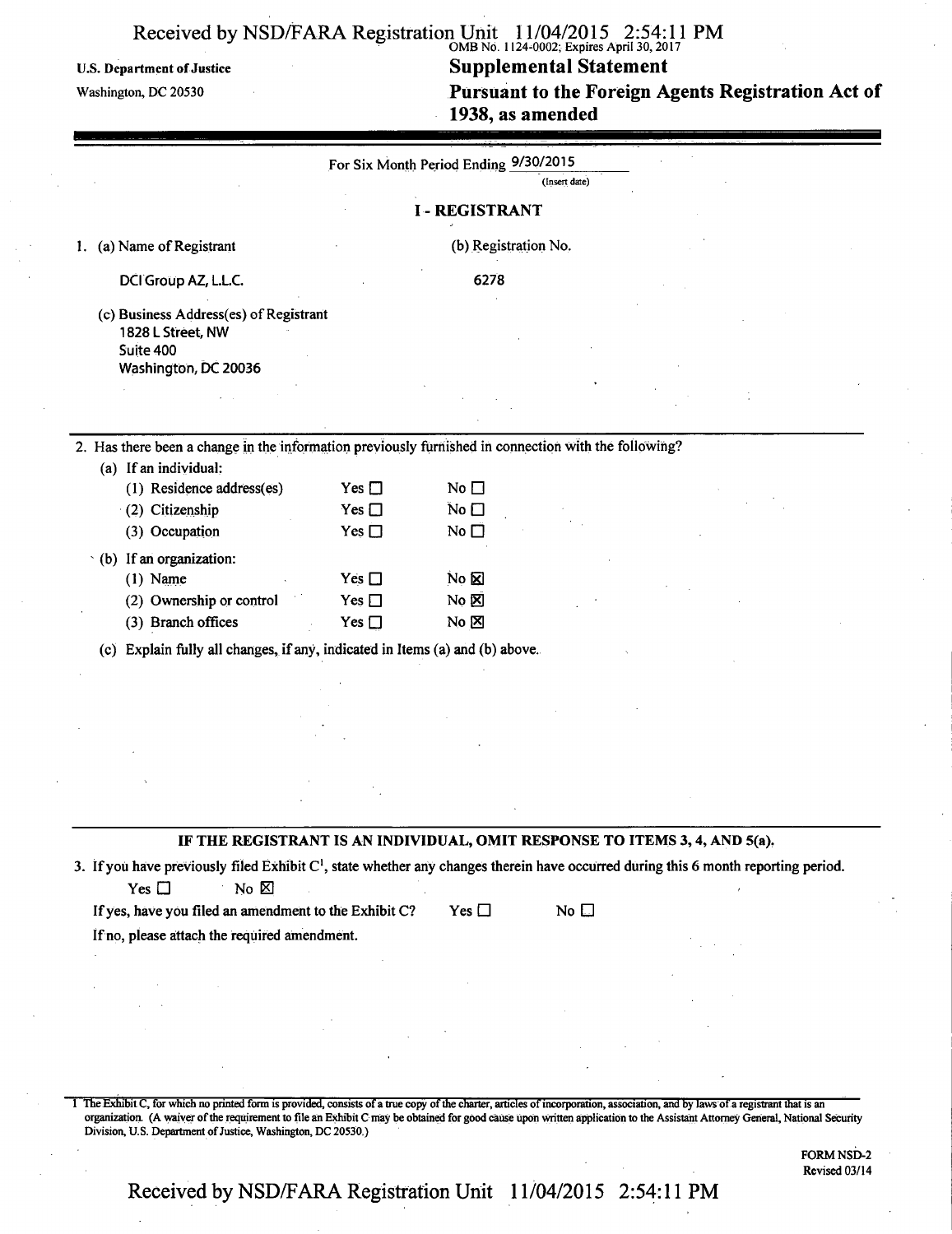## • OMBNo. 1124-0002; Expires April 30,2017

U.S. Department of Justice<br>
Washington, DC 20530<br> **Pursuant to the Foreign A Pursuant to the Foreign Agents Registration Act of 1938, as amended** 

|                                                                                                                                                |               | For Six Month Period Ending 9/30/2015 | (Insert date) |  |
|------------------------------------------------------------------------------------------------------------------------------------------------|---------------|---------------------------------------|---------------|--|
|                                                                                                                                                |               |                                       |               |  |
|                                                                                                                                                |               | <b>I-REGISTRANT</b>                   |               |  |
| (a) Name of Registrant                                                                                                                         |               | (b) Registration No.                  |               |  |
| DCI Group AZ, L.L.C.                                                                                                                           |               | 6278                                  |               |  |
| (c) Business Address(es) of Registrant                                                                                                         |               |                                       |               |  |
| 1828 L Street, NW<br>Suite 400                                                                                                                 |               |                                       |               |  |
| Washington, DC 20036                                                                                                                           |               |                                       |               |  |
|                                                                                                                                                |               |                                       |               |  |
|                                                                                                                                                |               |                                       |               |  |
|                                                                                                                                                |               |                                       |               |  |
| 2. Has there been a change in the information previously furnished in connection with the following?                                           |               |                                       |               |  |
| (a) If an individual:                                                                                                                          |               |                                       |               |  |
| (1) Residence address(es)                                                                                                                      | Yes $\Box$    | No $\square$                          |               |  |
| (2) Citizenship                                                                                                                                | Yes $\square$ | No $\square$                          |               |  |
| (3) Occupation                                                                                                                                 | Yes $\square$ | No $\square$                          |               |  |
| $\cdot$ (b) If an organization:                                                                                                                |               |                                       |               |  |
| $(1)$ Name                                                                                                                                     | Yes $\Box$    | $N_0$ $\boxtimes$                     |               |  |
| (2) Ownership or control                                                                                                                       | Yes $\Box$    | No 図                                  |               |  |
| (3) Branch offices                                                                                                                             | Yes $\square$ | $No \boxtimes$                        |               |  |
| (c) Explain fully all changes, if any, indicated in Items (a) and (b) above.                                                                   |               |                                       |               |  |
|                                                                                                                                                |               |                                       |               |  |
|                                                                                                                                                |               |                                       |               |  |
|                                                                                                                                                |               |                                       |               |  |
|                                                                                                                                                |               |                                       |               |  |
|                                                                                                                                                |               |                                       |               |  |
|                                                                                                                                                |               |                                       |               |  |
|                                                                                                                                                |               |                                       |               |  |
|                                                                                                                                                |               |                                       |               |  |
|                                                                                                                                                |               |                                       |               |  |
| IF THE REGISTRANT IS AN INDIVIDUAL, OMIT RESPONSE TO ITEMS 3, 4, AND 5(a).                                                                     |               |                                       |               |  |
|                                                                                                                                                |               |                                       |               |  |
| No $\boxtimes$<br>Yes $\square$                                                                                                                |               |                                       |               |  |
|                                                                                                                                                |               | Yes $\square$                         | No $\square$  |  |
|                                                                                                                                                |               |                                       |               |  |
|                                                                                                                                                |               |                                       |               |  |
|                                                                                                                                                |               |                                       |               |  |
|                                                                                                                                                |               |                                       |               |  |
| If yes, have you filed an amendment to the Exhibit C?<br>If no, please attach the required amendment.                                          |               |                                       |               |  |
|                                                                                                                                                |               |                                       |               |  |
| 3. If you have previously filed Exhibit C <sup>1</sup> , state whether any changes therein have occurred during this 6 month reporting period. |               |                                       |               |  |

FORM NSD-2 Revised 03/14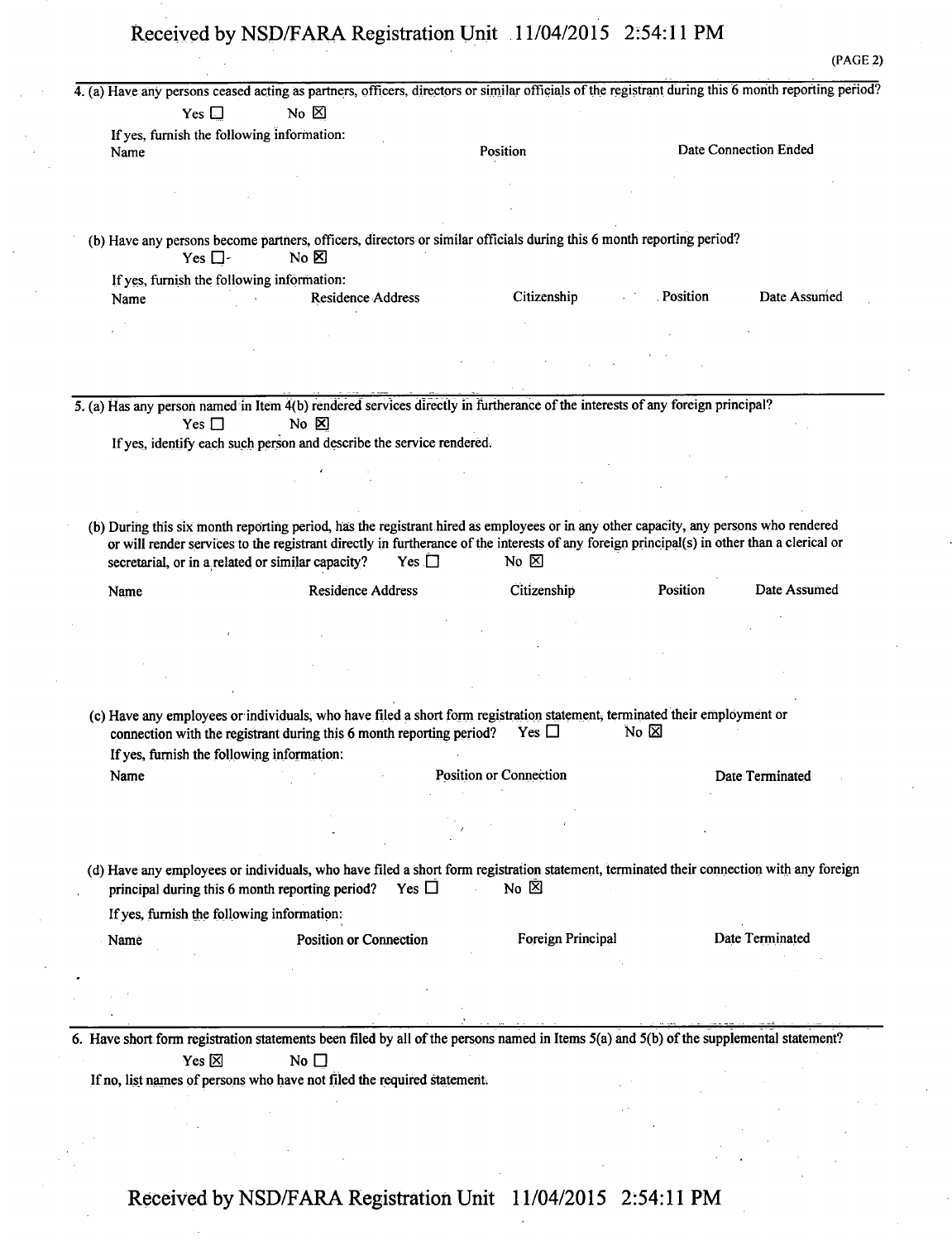|                                                           | 4. (a) Have any persons ceased acting as partners, officers, directors or similar officials of the registrant during this 6 month reporting period?                                                      |                        |                |                        |
|-----------------------------------------------------------|----------------------------------------------------------------------------------------------------------------------------------------------------------------------------------------------------------|------------------------|----------------|------------------------|
| Yes $\Box$                                                | No $\boxtimes$                                                                                                                                                                                           |                        |                |                        |
| If yes, furnish the following information:                |                                                                                                                                                                                                          |                        |                |                        |
| Name                                                      |                                                                                                                                                                                                          | Position               |                | Date Connection Ended  |
|                                                           |                                                                                                                                                                                                          |                        |                |                        |
|                                                           |                                                                                                                                                                                                          |                        |                |                        |
|                                                           |                                                                                                                                                                                                          |                        |                |                        |
| Yes $\square$                                             | (b) Have any persons become partners, officers, directors or similar officials during this 6 month reporting period?<br>$No \n  \boxtimes$                                                               |                        |                |                        |
| If yes, furnish the following information:                |                                                                                                                                                                                                          |                        |                |                        |
| Name                                                      | Residence Address                                                                                                                                                                                        | Citizenship            | . Position     | Date Assumed           |
|                                                           |                                                                                                                                                                                                          |                        |                |                        |
|                                                           |                                                                                                                                                                                                          |                        |                |                        |
|                                                           |                                                                                                                                                                                                          |                        |                |                        |
|                                                           |                                                                                                                                                                                                          |                        |                |                        |
|                                                           | 5. (a) Has any person named in Item 4(b) rendered services directly in furtherance of the interests of any foreign principal?                                                                            |                        |                |                        |
| Yes $\Box$                                                | $No \tIm$                                                                                                                                                                                                |                        |                |                        |
|                                                           | If yes, identify each such person and describe the service rendered.                                                                                                                                     |                        |                |                        |
|                                                           |                                                                                                                                                                                                          |                        |                |                        |
|                                                           |                                                                                                                                                                                                          |                        |                |                        |
|                                                           |                                                                                                                                                                                                          |                        |                |                        |
| secretarial, or in a related or similar capacity?<br>Name | <b>Residence Address</b>                                                                                                                                                                                 | Citizenship            | Position       | Date Assumed           |
|                                                           |                                                                                                                                                                                                          |                        |                |                        |
|                                                           |                                                                                                                                                                                                          |                        |                |                        |
|                                                           |                                                                                                                                                                                                          |                        |                |                        |
|                                                           |                                                                                                                                                                                                          |                        |                |                        |
|                                                           | (c) Have any employees or individuals, who have filed a short form registration statement, terminated their employment or<br>connection with the registrant during this 6 month reporting period?        | Yes $\Box$             | No $\boxtimes$ |                        |
| If yes, furnish the following information:                |                                                                                                                                                                                                          |                        |                |                        |
| Name                                                      |                                                                                                                                                                                                          | Position or Connection |                | Date Terminated        |
|                                                           |                                                                                                                                                                                                          |                        |                |                        |
|                                                           |                                                                                                                                                                                                          |                        |                |                        |
|                                                           |                                                                                                                                                                                                          |                        |                |                        |
|                                                           | (d) Have any employees or individuals, who have filed a short form registration statement, terminated their connection with any foreign<br>Yes $\Box$<br>principal during this 6 month reporting period? | No $\boxtimes$         |                |                        |
| If yes, furnish the following information:                |                                                                                                                                                                                                          |                        |                |                        |
| Name                                                      | <b>Position or Connection</b>                                                                                                                                                                            | Foreign Principal      |                | <b>Date Terminated</b> |
|                                                           |                                                                                                                                                                                                          |                        |                |                        |
|                                                           |                                                                                                                                                                                                          |                        |                |                        |
|                                                           |                                                                                                                                                                                                          |                        |                |                        |
|                                                           |                                                                                                                                                                                                          |                        |                |                        |
|                                                           | 6. Have short form registration statements been filed by all of the persons named in Items 5(a) and 5(b) of the supplemental statement?                                                                  |                        |                |                        |
| Yes $\boxtimes$                                           | No $\square$                                                                                                                                                                                             |                        |                |                        |
|                                                           | If no, list names of persons who have not filed the required statement.                                                                                                                                  |                        |                |                        |
|                                                           |                                                                                                                                                                                                          |                        |                |                        |
|                                                           |                                                                                                                                                                                                          |                        |                |                        |
|                                                           |                                                                                                                                                                                                          |                        |                |                        |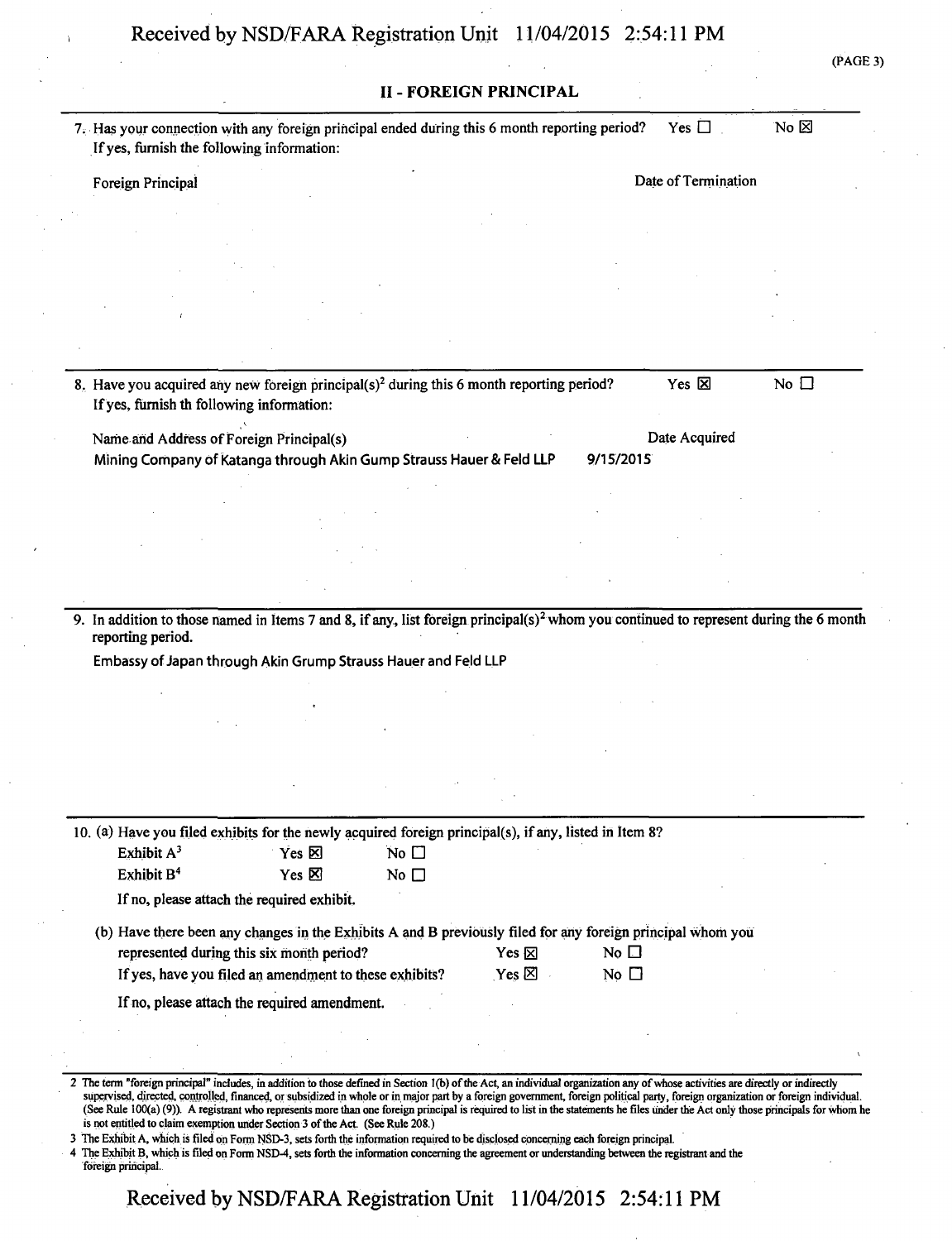| AG<br>I.<br>г. |  |
|----------------|--|

|                                                                                                                                                       | <b>II - FOREIGN PRINCIPAL</b>   |                           |                     |                |
|-------------------------------------------------------------------------------------------------------------------------------------------------------|---------------------------------|---------------------------|---------------------|----------------|
| 7. Has your connection with any foreign principal ended during this 6 month reporting period?<br>If yes, furnish the following information:           |                                 |                           | Yes $\Box$          | No $\boxtimes$ |
| Foreign Principal                                                                                                                                     |                                 |                           | Date of Termination |                |
|                                                                                                                                                       |                                 |                           |                     |                |
|                                                                                                                                                       |                                 |                           |                     |                |
|                                                                                                                                                       |                                 |                           |                     |                |
|                                                                                                                                                       |                                 |                           |                     |                |
|                                                                                                                                                       |                                 |                           |                     |                |
|                                                                                                                                                       |                                 |                           |                     |                |
| 8. Have you acquired any new foreign principal(s) <sup>2</sup> during this 6 month reporting period?<br>If yes, furnish th following information:     |                                 |                           | Yes 区               | No $\square$   |
| Name and Address of Foreign Principal(s)                                                                                                              |                                 |                           | Date Acquired       |                |
| Mining Company of Katanga through Akin Gump Strauss Hauer & Feld LLP                                                                                  |                                 | 9/15/2015                 |                     |                |
|                                                                                                                                                       |                                 |                           |                     |                |
|                                                                                                                                                       |                                 |                           |                     |                |
|                                                                                                                                                       |                                 |                           |                     |                |
|                                                                                                                                                       |                                 |                           |                     |                |
| 9. In addition to those named in Items 7 and 8, if any, list foreign principal( $s$ ) <sup>2</sup> whom you continued to represent during the 6 month |                                 |                           |                     |                |
| reporting period.                                                                                                                                     |                                 |                           |                     |                |
| Embassy of Japan through Akin Grump Strauss Hauer and Feld LLP                                                                                        |                                 |                           |                     |                |
|                                                                                                                                                       |                                 |                           |                     |                |
|                                                                                                                                                       |                                 |                           |                     |                |
|                                                                                                                                                       |                                 |                           |                     |                |
|                                                                                                                                                       |                                 |                           |                     |                |
|                                                                                                                                                       |                                 |                           |                     |                |
|                                                                                                                                                       |                                 |                           |                     |                |
|                                                                                                                                                       |                                 |                           |                     |                |
| Exhibit A <sup>3</sup><br>No $\square$<br>Yes <b>⊠</b>                                                                                                |                                 |                           |                     |                |
| Exhibit B <sup>4</sup><br>Yes $\boxtimes$<br>No $\square$                                                                                             |                                 |                           |                     |                |
| If no, please attach the required exhibit.                                                                                                            |                                 |                           |                     |                |
| (b) Have there been any changes in the Exhibits A and B previously filed for any foreign principal whom you                                           |                                 |                           |                     |                |
| represented during this six month period?<br>If yes, have you filed an amendment to these exhibits?                                                   | Yes $\nabla$<br>$Yes \boxtimes$ | No $\Box$<br>No $\square$ |                     |                |
| If no, please attach the required amendment.                                                                                                          |                                 |                           |                     |                |
| 10. (a) Have you filed exhibits for the newly acquired foreign principal(s), if any, listed in Item 8?                                                |                                 |                           |                     |                |

4 The Exhibit B, which is filed on Form NSD-4, sets forth the information concerning the agreement or understanding between the registrant and the foreign principal.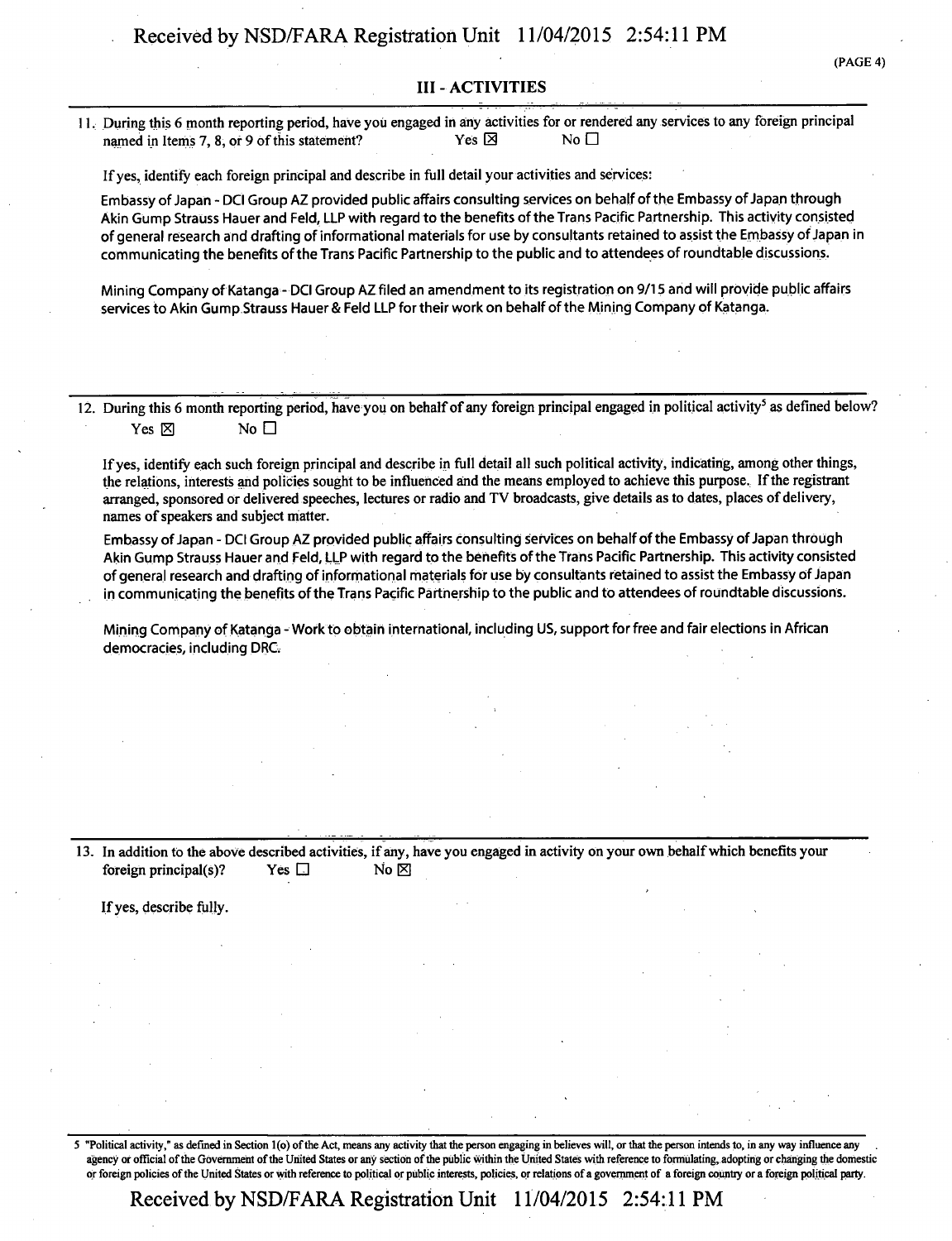#### **III - ACTIVITIES**

11. During this 6 month reporting period, have you engaged in any activities for or rendered any services to any foreign principal named in Items 7, 8, or 9 of this statement? Yes  $\boxtimes$  Yes  $\boxtimes$ 

If yes, identify each foreign principal and describe in full detail your activities and services:

Embassy of Japan - DCI Group AZ provided public affairs consulting services on behalf of the Embassy of Japan through Akin Gump Strauss Hauer and Feld, LLP with regard to the benefits of the Trans Pacific Partnership. This activity consisted of general research and drafting of informational materials for use by consultants retained to assist the Embassy of Japan in communicating the benefits ofthe Trans Pacific Partnership to the public and to attendees of roundtable discussions.

Mining Company of Katanga - DCI Group AZ filed an amendment to its registration on 9/15 and will provide public affairs services to Akin Gump Strauss Hauer & Feld LLP for their work on behalf of the Mining Company of Katanga.

12. During this 6 month reporting period, have you on behalf of any foreign principal engaged in political activity<sup>5</sup> as defined below? Yes  $\boxtimes$  No  $\Box$ 

Ifyes, identify each such foreign principal and describe in full detail all such political activity, indicating, among other things, the relations, interests and policies sought to be influenced and the means employed to achieve this purpose. If the registrant arranged, sponsored or delivered speeches, lectures or radio and TV broadcasts, give details as to dates, places of delivery, names of speakers and subject matter.

Embassy of Japan - DCI Group AZ provided public affairs consulting services on behalf of the Embassy of Japan through Akin Gump Strauss Hauer and Feld, LLP with regard to the benefits of the Trans Pacific Partnership. This activity consisted of general research and drafting of informational materials for use by consultants retained to assist the Embassy Of Japan in communicating the benefits ofthe Trans Pacific Partnership to the public and to attendees of roundtable discussions.

Mining Company of Katanga - Work to obtain international, including US, support for free and fair elections in African democracies, including DRC.

13. In addition tb the above described activities, if any, have you engaged in activity on your own behalf which benefits your foreign principal(s)? Yes  $\Box$  No  $\boxtimes$ 

If yes, describe fully.

S "Political activity," as defined in Section l(o) of the Act, means any activity that the person engaging in believes will, or that the person intends to, in any way influence any agency or official of the Government of the United States or any section of the public within the United States with reference to formulating, adopting or changing the domestic or foreign policies of the United States or with reference to political or public interests, policies, or relations of a government of a foreign country or a foreign political party.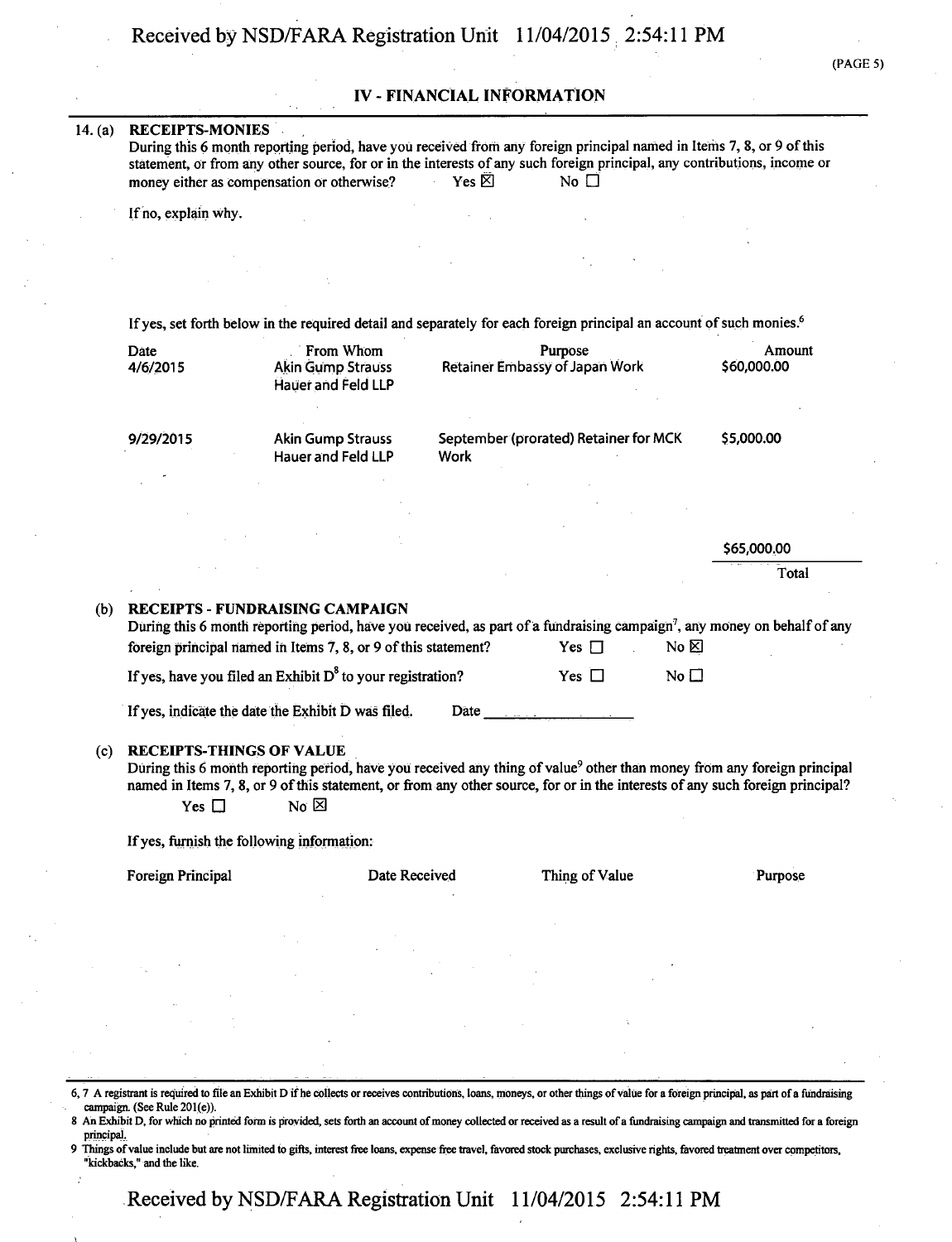## **IV - FINANCIAL INFORMATION**

#### **14. (a) RECEIPTS-MONIES**

During this 6 month reporting period, have you received from any foreign principal named in Items 7, 8, or 9 of this statement, or from any other source, for or in the interests of any such foreign principal, any contributions, income or money either as compensation or otherwise? Yes  $\boxtimes$  No  $\Box$ money either as compensation or otherwise?

If no, explain why .

If yes, set forth below in the required detail and separately for each foreign principal an account of such monies.<sup>6</sup>

|     | Date<br>4/6/2015                              | From Whom<br><b>Akin Gump Strauss</b><br><b>Hauer and Feld LLP</b>                                                                                                                                                                                                                                                |             | Purpose<br>Retainer Embassy of Japan Work |                   | Amount<br>\$60,000.00 |
|-----|-----------------------------------------------|-------------------------------------------------------------------------------------------------------------------------------------------------------------------------------------------------------------------------------------------------------------------------------------------------------------------|-------------|-------------------------------------------|-------------------|-----------------------|
|     | 9/29/2015                                     | <b>Akin Gump Strauss</b><br><b>Hauer and Feld LLP</b>                                                                                                                                                                                                                                                             | <b>Work</b> | September (prorated) Retainer for MCK     |                   | \$5,000.00            |
|     |                                               |                                                                                                                                                                                                                                                                                                                   |             |                                           |                   |                       |
|     |                                               |                                                                                                                                                                                                                                                                                                                   |             |                                           |                   | \$65,000.00           |
|     |                                               |                                                                                                                                                                                                                                                                                                                   |             |                                           |                   | Total                 |
| (b) |                                               | <b>RECEIPTS - FUNDRAISING CAMPAIGN</b><br>During this 6 month reporting period, have you received, as part of a fundraising campaign <sup>7</sup> , any money on behalf of any<br>foreign principal named in Items 7, 8, or 9 of this statement?<br>If yes, have you filed an Exhibit $D^8$ to your registration? |             | Yes $\Box$<br>Yes $\Box$                  | No &<br>No $\Box$ |                       |
|     |                                               | If yes, indicate the date the Exhibit D was filed.                                                                                                                                                                                                                                                                | Date        |                                           |                   |                       |
| (c) | <b>RECEIPTS-THINGS OF VALUE</b><br>Yes $\Box$ | During this 6 month reporting period, have you received any thing of value <sup>9</sup> other than money from any foreign principal<br>named in Items 7, 8, or 9 of this statement, or from any other source, for or in the interests of any such foreign principal?<br>No $\boxtimes$                            |             |                                           |                   |                       |
|     | If yes, furnish the following information:    |                                                                                                                                                                                                                                                                                                                   |             |                                           |                   |                       |
|     | Foreign Principal                             | Date Received                                                                                                                                                                                                                                                                                                     |             | Thing of Value                            |                   | Purpose               |
|     |                                               |                                                                                                                                                                                                                                                                                                                   |             |                                           |                   |                       |

6,7 A registrant is required to file an Exhibit D if he collects or receives contributions, loans, moneys, or other things of value for a foreign principal, as part of a fimdraising campaign. (See Rule 201(e)).

8 An Exhibit D, for which no printed form is provided, sets forth an account of money collected or received as a result of a fundraising campaign and transmitted for a foreign principai.

9 Things of value include but are not limited to gifts, interest free loans, expense free travel, favored stock purchases, exclusive rights, favored treatment over competitors, "kickbacks," and the like.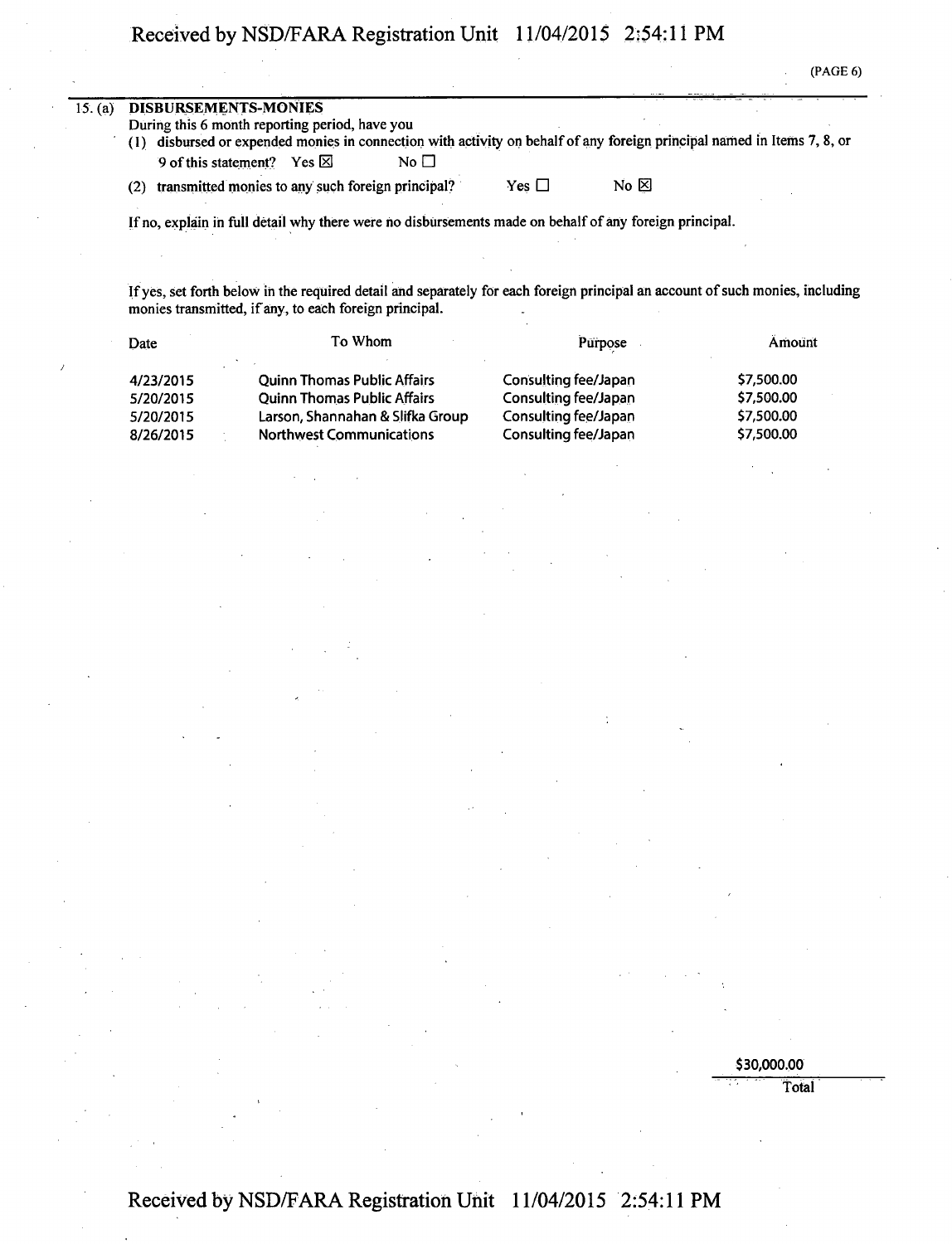(PAGE 6)

| 15. (a) | DISBURSEMENTS-MONIES                                                                                                    |            |                |  |
|---------|-------------------------------------------------------------------------------------------------------------------------|------------|----------------|--|
|         | During this 6 month reporting period, have you                                                                          |            |                |  |
|         | (1) disbursed or expended monies in connection with activity on behalf of any foreign principal named in Items 7, 8, or |            |                |  |
|         | No $\Box$<br>9 of this statement? Yes $\boxtimes$                                                                       |            |                |  |
|         | transmitted monies to any such foreign principal?<br>(2)                                                                | Yes $\Box$ | No $\boxtimes$ |  |

If no, explain ih full detail why there were ho disbursements made on behalf of any foreign principal.

If yes, set forth below ih the required detail and separately for each foreign principal an account of such monies, including monies transmitted, if any, to each foreign principal.

| Date      | To Whom                            | Purpose              | Amount     |
|-----------|------------------------------------|----------------------|------------|
| 4/23/2015 | <b>Quinn Thomas Public Affairs</b> | Consulting fee/Japan | \$7,500.00 |
| 5/20/2015 | <b>Ouinn Thomas Public Affairs</b> | Consulting fee/Japan | \$7,500.00 |
| 5/20/2015 | Larson, Shannahan & Slifka Group   | Consulting fee/Japan | \$7,500.00 |
| 8/26/2015 | <b>Northwest Communications</b>    | Consulting fee/Japan | \$7,500.00 |

\$30,000.00

Total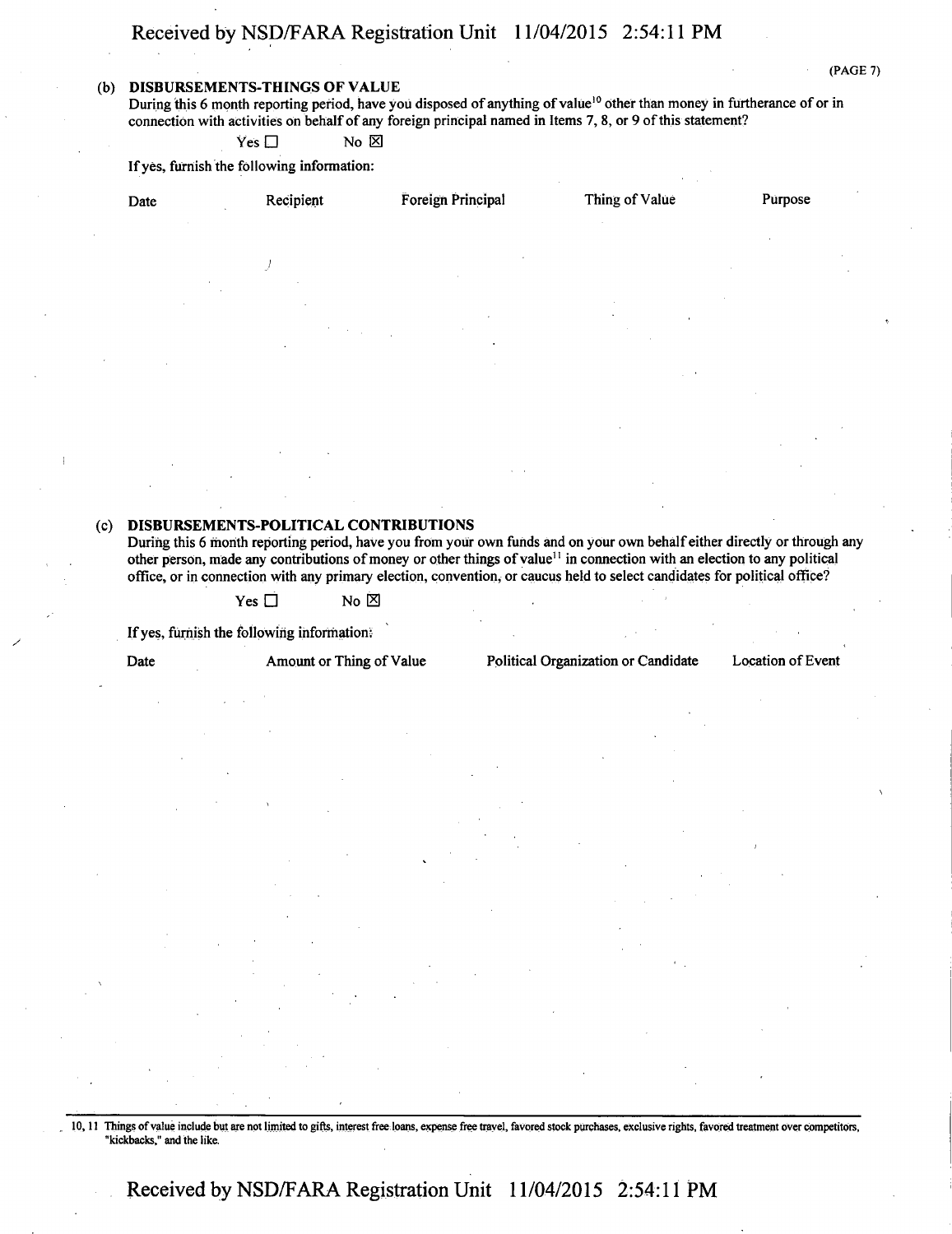#### **(b) DISBURSEMENTS-THINGS OF VALUE**

(PAGE 7)

During this 6 month reporting period, have you disposed of anything of value<sup>10</sup> other than money in furtherance of or in connection with activities on behalf of any foreign principal named in Items 7, 8, or 9 of this statement?

 $Yes \Box$  No  $\boxtimes$ 

If yes, furnish the following information:

| Date<br>$\sim$           | Recipient                                                                         | Foreign Principal                                         | Thing of Value                      | $\bullet$<br>Purpose |
|--------------------------|-----------------------------------------------------------------------------------|-----------------------------------------------------------|-------------------------------------|----------------------|
|                          |                                                                                   |                                                           |                                     |                      |
|                          |                                                                                   | $\epsilon$<br>$\sim$ 10 $\pm$                             |                                     | $\sim$<br>$\sim$     |
| $\sim$<br>$\sim$         | $\sim$<br>$\sim$                                                                  |                                                           |                                     |                      |
|                          | $\mathcal{F}^{\text{max}}_{\text{max}}$ , $\mathcal{F}^{\text{max}}_{\text{max}}$ | $\sim$<br><b>Contractor</b><br>$\sim$ 10 $\sim$<br>$\sim$ | $\bullet$<br>$\mathbf{r}$<br>$\sim$ |                      |
| $\overline{\phantom{a}}$ | $\ddot{\phantom{1}}$                                                              |                                                           | <b>Carl Mar</b>                     |                      |
|                          |                                                                                   |                                                           |                                     | $\sim$               |

#### **(c) DISBURSEMENTS-POLITICAL CONTRIBUTIONS**

During this 6 month reporting period, have you from your own funds and on your own behalf either directly or through any other person, made any contributions of money or other things of value<sup>11</sup> in connection with an election to any political office, or in connection with any primary election, convention, or caucus held to select candidates for political office?

 $Yes \Box$  No  $\boxtimes$ 

If yes, furnish the following information:

Date Amount or Thing of Value Political Organization or Candidate Location of Event

10,11 Things of value include but are not limited to gifts, interest free loans, expense free travel, favored stock purchases, exclusive rights, favored treatment over competitors, "kickbacks," and the like.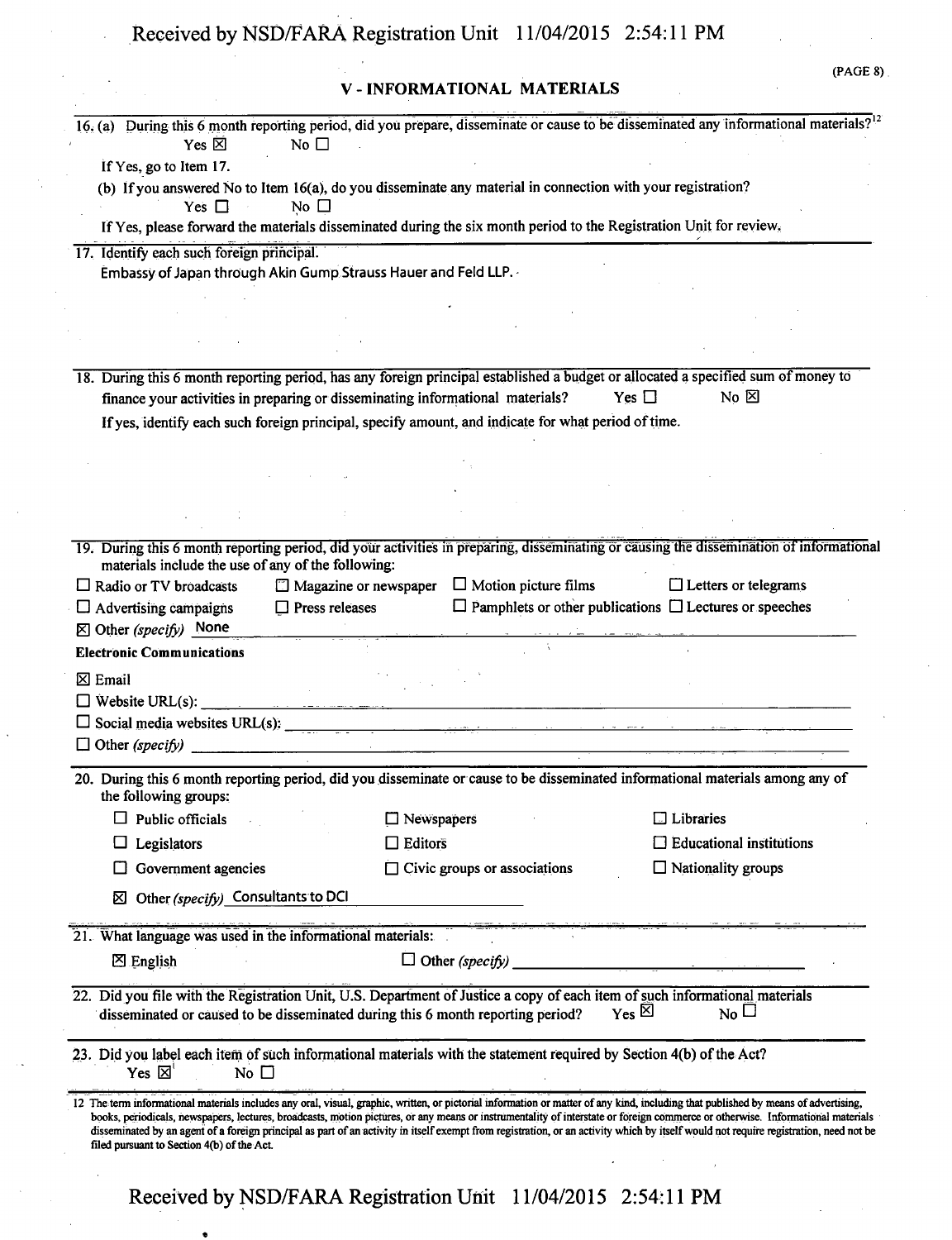# **V - INFORMATIONAL MATERIALS**

| Yes $\boxtimes$<br>No $\square$                                                                                                                        |                                                          | 16. (a) During this 6 month reporting period, did you prepare, disseminate or cause to be disseminated any informational materials? <sup>12</sup>                                                                                                                                                                                                                       |
|--------------------------------------------------------------------------------------------------------------------------------------------------------|----------------------------------------------------------|-------------------------------------------------------------------------------------------------------------------------------------------------------------------------------------------------------------------------------------------------------------------------------------------------------------------------------------------------------------------------|
| If Yes, go to Item 17.                                                                                                                                 |                                                          |                                                                                                                                                                                                                                                                                                                                                                         |
| (b) If you answered No to Item 16(a), do you disseminate any material in connection with your registration?                                            |                                                          |                                                                                                                                                                                                                                                                                                                                                                         |
| No $\Box$<br>Yes $\Box$                                                                                                                                |                                                          |                                                                                                                                                                                                                                                                                                                                                                         |
| If Yes, please forward the materials disseminated during the six month period to the Registration Unit for review.                                     |                                                          |                                                                                                                                                                                                                                                                                                                                                                         |
| 17. Identify each such foreign principal.                                                                                                              |                                                          |                                                                                                                                                                                                                                                                                                                                                                         |
| Embassy of Japan through Akin Gump Strauss Hauer and Feld LLP.                                                                                         |                                                          |                                                                                                                                                                                                                                                                                                                                                                         |
|                                                                                                                                                        |                                                          |                                                                                                                                                                                                                                                                                                                                                                         |
|                                                                                                                                                        |                                                          |                                                                                                                                                                                                                                                                                                                                                                         |
|                                                                                                                                                        |                                                          |                                                                                                                                                                                                                                                                                                                                                                         |
|                                                                                                                                                        |                                                          |                                                                                                                                                                                                                                                                                                                                                                         |
|                                                                                                                                                        |                                                          | 18. During this 6 month reporting period, has any foreign principal established a budget or allocated a specified sum of money to<br>No $\boxtimes$<br>Yes $\Box$                                                                                                                                                                                                       |
| finance your activities in preparing or disseminating informational materials?                                                                         |                                                          |                                                                                                                                                                                                                                                                                                                                                                         |
| If yes, identify each such foreign principal, specify amount, and indicate for what period of time.                                                    |                                                          |                                                                                                                                                                                                                                                                                                                                                                         |
|                                                                                                                                                        |                                                          |                                                                                                                                                                                                                                                                                                                                                                         |
|                                                                                                                                                        |                                                          |                                                                                                                                                                                                                                                                                                                                                                         |
|                                                                                                                                                        |                                                          |                                                                                                                                                                                                                                                                                                                                                                         |
|                                                                                                                                                        |                                                          |                                                                                                                                                                                                                                                                                                                                                                         |
|                                                                                                                                                        |                                                          | 19. During this 6 month reporting period, did your activities in preparing, disseminating or causing the dissemination of informational                                                                                                                                                                                                                                 |
| materials include the use of any of the following:                                                                                                     |                                                          |                                                                                                                                                                                                                                                                                                                                                                         |
| $\Box$ Radio or TV broadcasts                                                                                                                          | $\Box$ Magazine or newspaper $\Box$ Motion picture films | $\Box$ Letters or telegrams                                                                                                                                                                                                                                                                                                                                             |
| $\Box$ Press releases<br>$\Box$ Advertising campaigns                                                                                                  |                                                          | $\Box$ Pamphlets or other publications $\Box$ Lectures or speeches                                                                                                                                                                                                                                                                                                      |
| $\boxtimes$ Other (specify) None                                                                                                                       |                                                          |                                                                                                                                                                                                                                                                                                                                                                         |
| <b>Electronic Communications</b>                                                                                                                       |                                                          |                                                                                                                                                                                                                                                                                                                                                                         |
|                                                                                                                                                        |                                                          |                                                                                                                                                                                                                                                                                                                                                                         |
|                                                                                                                                                        |                                                          |                                                                                                                                                                                                                                                                                                                                                                         |
| $\boxtimes$ Email                                                                                                                                      |                                                          |                                                                                                                                                                                                                                                                                                                                                                         |
| $\Box \text{ Website URL(s): } \qquad \qquad \Box$                                                                                                     |                                                          |                                                                                                                                                                                                                                                                                                                                                                         |
| $\Box$ Social media websites URL(s):                                                                                                                   |                                                          |                                                                                                                                                                                                                                                                                                                                                                         |
|                                                                                                                                                        |                                                          |                                                                                                                                                                                                                                                                                                                                                                         |
|                                                                                                                                                        |                                                          | 20. During this 6 month reporting period, did you disseminate or cause to be disseminated informational materials among any of                                                                                                                                                                                                                                          |
| the following groups:                                                                                                                                  |                                                          | $\Box$ Libraries                                                                                                                                                                                                                                                                                                                                                        |
| Public officials                                                                                                                                       | $\Box$ Newspapers                                        |                                                                                                                                                                                                                                                                                                                                                                         |
| Legislators                                                                                                                                            | $\Box$ Editors                                           | $\Box$ Educational institutions                                                                                                                                                                                                                                                                                                                                         |
| Government agencies                                                                                                                                    | $\Box$ Civic groups or associations                      | $\Box$ Nationality groups                                                                                                                                                                                                                                                                                                                                               |
| Other (specify) Consultants to DCI<br>⊠                                                                                                                |                                                          |                                                                                                                                                                                                                                                                                                                                                                         |
| 21. What language was used in the informational materials:                                                                                             |                                                          |                                                                                                                                                                                                                                                                                                                                                                         |
|                                                                                                                                                        |                                                          |                                                                                                                                                                                                                                                                                                                                                                         |
| $\boxtimes$ English                                                                                                                                    | $\Box$ Other (specify)                                   |                                                                                                                                                                                                                                                                                                                                                                         |
| 22. Did you file with the Registration Unit, U.S. Department of Justice a copy of each item of such informational materials                            |                                                          |                                                                                                                                                                                                                                                                                                                                                                         |
| disseminated or caused to be disseminated during this 6 month reporting period?                                                                        |                                                          | $Yes \boxtimes$<br>$N_0$                                                                                                                                                                                                                                                                                                                                                |
| 23. Did you label each item of such informational materials with the statement required by Section 4(b) of the Act?<br>$Yes \boxtimes$<br>No $\square$ |                                                          |                                                                                                                                                                                                                                                                                                                                                                         |
|                                                                                                                                                        |                                                          | 12 The term informational materials includes any oral, visual, graphic, written, or pictorial information or matter of any kind, including that published by means of advertising,                                                                                                                                                                                      |
| filed pursuant to Section 4(b) of the Act.                                                                                                             |                                                          | books, periodicals, newspapers, lectures, broadcasts, motion pictures, or any means or instrumentality of interstate or foreign commerce or otherwise. Informational materials<br>disseminated by an agent of a foreign principal as part of an activity in itself exempt from registration, or an activity which by itself would not require registration, need not be |

**Received by NSD/FARA Registration Unit 11/04/2015 2:54:11 PM** 

«